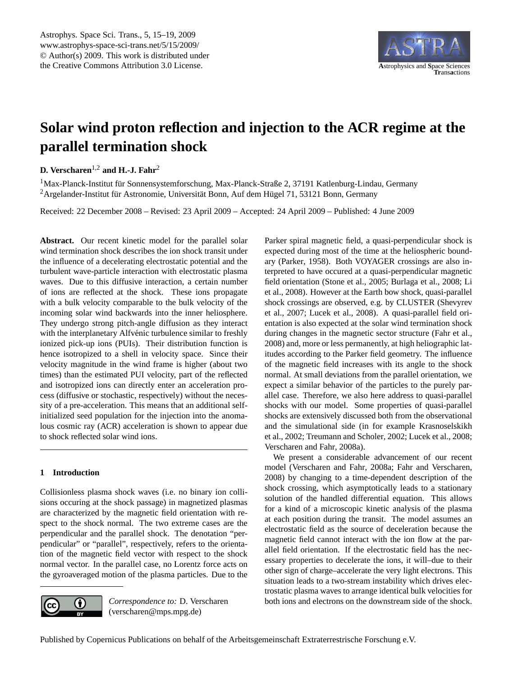

# <span id="page-0-0"></span>**Solar wind proton reflection and injection to the ACR regime at the parallel termination shock**

## **D. Verscharen**1,2 **and H.-J. Fahr**<sup>2</sup>

<sup>1</sup>Max-Planck-Institut für Sonnensystemforschung, Max-Planck-Straße 2, 37191 Katlenburg-Lindau, Germany  $2A$ rgelander-Institut für Astronomie, Universität Bonn, Auf dem Hügel 71, 53121 Bonn, Germany

Received: 22 December 2008 – Revised: 23 April 2009 – Accepted: 24 April 2009 – Published: 4 June 2009

**Abstract.** Our recent kinetic model for the parallel solar wind termination shock describes the ion shock transit under the influence of a decelerating electrostatic potential and the turbulent wave-particle interaction with electrostatic plasma waves. Due to this diffusive interaction, a certain number of ions are reflected at the shock. These ions propagate with a bulk velocity comparable to the bulk velocity of the incoming solar wind backwards into the inner heliosphere. They undergo strong pitch-angle diffusion as they interact with the interplanetary Alfvénic turbulence similar to freshly ionized pick-up ions (PUIs). Their distribution function is hence isotropized to a shell in velocity space. Since their velocity magnitude in the wind frame is higher (about two times) than the estimated PUI velocity, part of the reflected and isotropized ions can directly enter an acceleration process (diffusive or stochastic, respectively) without the necessity of a pre-acceleration. This means that an additional selfinitialized seed population for the injection into the anomalous cosmic ray (ACR) acceleration is shown to appear due to shock reflected solar wind ions.

### **1 Introduction**

Collisionless plasma shock waves (i.e. no binary ion collisions occuring at the shock passage) in magnetized plasmas are characterized by the magnetic field orientation with respect to the shock normal. The two extreme cases are the perpendicular and the parallel shock. The denotation "perpendicular" or "parallel", respectively, refers to the orientation of the magnetic field vector with respect to the shock normal vector. In the parallel case, no Lorentz force acts on the gyroaveraged motion of the plasma particles. Due to the



*Correspondence to:* D. Verscharen (verscharen@mps.mpg.de)

Parker spiral magnetic field, a quasi-perpendicular shock is expected during most of the time at the heliospheric boundary [\(Parker,](#page-4-0) [1958\)](#page-4-0). Both VOYAGER crossings are also interpreted to have occured at a quasi-perpendicular magnetic field orientation [\(Stone et al.,](#page-4-1) [2005;](#page-4-1) [Burlaga et al.,](#page-3-0) [2008;](#page-3-0) [Li](#page-4-2) [et al.,](#page-4-2) [2008\)](#page-4-2). However at the Earth bow shock, quasi-parallel shock crossings are observed, e.g. by CLUSTER [\(Shevyrev](#page-4-3) [et al.,](#page-4-3) [2007;](#page-4-3) [Lucek et al.,](#page-4-4) [2008\)](#page-4-4). A quasi-parallel field orientation is also expected at the solar wind termination shock during changes in the magnetic sector structure [\(Fahr et al.,](#page-4-5) [2008\)](#page-4-5) and, more or less permanently, at high heliographic latitudes according to the Parker field geometry. The influence of the magnetic field increases with its angle to the shock normal. At small deviations from the parallel orientation, we expect a similar behavior of the particles to the purely parallel case. Therefore, we also here address to quasi-parallel shocks with our model. Some properties of quasi-parallel shocks are extensively discussed both from the observational and the simulational side (in for example [Krasnoselskikh](#page-4-6) [et al.,](#page-4-6) [2002;](#page-4-6) [Treumann and Scholer,](#page-4-7) [2002;](#page-4-7) [Lucek et al.,](#page-4-4) [2008;](#page-4-4) [Verscharen and Fahr,](#page-4-8) [2008a\)](#page-4-8).

We present a considerable advancement of our recent model [\(Verscharen and Fahr,](#page-4-8) [2008a;](#page-4-8) [Fahr and Verscharen,](#page-4-9) [2008\)](#page-4-9) by changing to a time-dependent description of the shock crossing, which asymptotically leads to a stationary solution of the handled differential equation. This allows for a kind of a microscopic kinetic analysis of the plasma at each position during the transit. The model assumes an electrostatic field as the source of deceleration because the magnetic field cannot interact with the ion flow at the parallel field orientation. If the electrostatic field has the necessary properties to decelerate the ions, it will–due to their other sign of charge–accelerate the very light electrons. This situation leads to a two-stream instability which drives electrostatic plasma waves to arrange identical bulk velocities for both ions and electrons on the downstream side of the shock.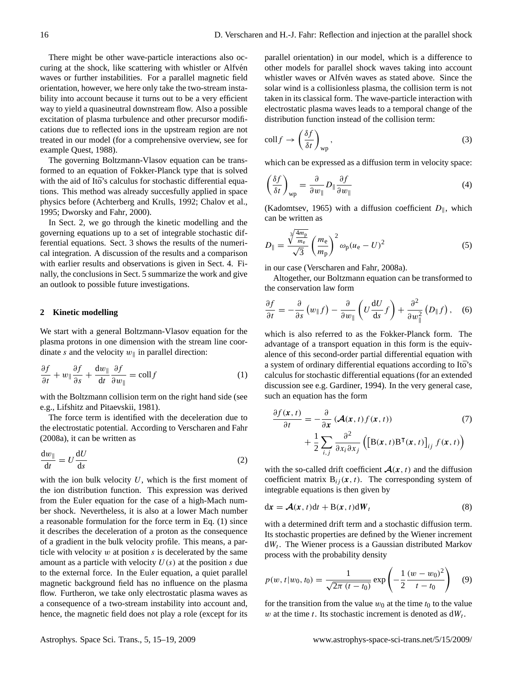There might be other wave-particle interactions also occuring at the shock, like scattering with whistler or Alfvén waves or further instabilities. For a parallel magnetic field orientation, however, we here only take the two-stream instability into account because it turns out to be a very efficient way to yield a quasineutral downstream flow. Also a possible excitation of plasma turbulence and other precursor modifications due to reflected ions in the upstream region are not treated in our model (for a comprehensive overview, see for example [Quest,](#page-4-10) [1988\)](#page-4-10).

The governing Boltzmann-Vlasov equation can be transformed to an equation of Fokker-Planck type that is solved with the aid of Itō's calculus for stochastic differential equations. This method was already succesfully applied in space physics before [\(Achterberg and Krulls,](#page-3-1) [1992;](#page-3-1) [Chalov et al.,](#page-4-11) [1995;](#page-4-11) [Dworsky and Fahr,](#page-4-12) [2000\)](#page-4-12).

In Sect. [2,](#page-1-0) we go through the kinetic modelling and the governing equations up to a set of integrable stochastic differential equations. Sect. [3](#page-2-0) shows the results of the numerical integration. A discussion of the results and a comparison with earlier results and observations is given in Sect. [4.](#page-2-1) Finally, the conclusions in Sect. 5 summarize the work and give an outlook to possible future investigations.

#### <span id="page-1-0"></span>**2 Kinetic modelling**

We start with a general Boltzmann-Vlasov equation for the plasma protons in one dimension with the stream line coordinate s and the velocity  $w_{\parallel}$  in parallel direction:

<span id="page-1-1"></span>
$$
\frac{\partial f}{\partial t} + w_{\parallel} \frac{\partial f}{\partial s} + \frac{\mathrm{d}w_{\parallel}}{\mathrm{d}t} \frac{\partial f}{\partial w_{\parallel}} = \mathrm{coll} f \tag{1}
$$

with the Boltzmann collision term on the right hand side (see e.g., [Lifshitz and Pitaevskii,](#page-4-13) [1981\)](#page-4-13).

The force term is identified with the deceleration due to the electrostatic potential. According to [Verscharen and Fahr](#page-4-8) [\(2008a\)](#page-4-8), it can be written as

$$
\frac{\mathrm{d}w_{\parallel}}{\mathrm{d}t} = U \frac{\mathrm{d}U}{\mathrm{d}s} \tag{2}
$$

with the ion bulk velocity  $U$ , which is the first moment of the ion distribution function. This expression was derived from the Euler equation for the case of a high-Mach number shock. Nevertheless, it is also at a lower Mach number a reasonable formulation for the force term in Eq. [\(1\)](#page-1-1) since it describes the deceleration of a proton as the consequence of a gradient in the bulk velocity profile. This means, a particle with velocity  $w$  at position  $s$  is decelerated by the same amount as a particle with velocity  $U(s)$  at the position s due to the external force. In the Euler equation, a quiet parallel magnetic background field has no influence on the plasma flow. Furtheron, we take only electrostatic plasma waves as a consequence of a two-stream instability into account and, hence, the magnetic field does not play a role (except for its parallel orientation) in our model, which is a difference to other models for parallel shock waves taking into account whistler waves or Alfvén waves as stated above. Since the solar wind is a collisionless plasma, the collision term is not taken in its classical form. The wave-particle interaction with electrostatic plasma waves leads to a temporal change of the distribution function instead of the collision term:

$$
\operatorname{coll} f \to \left(\frac{\delta f}{\delta t}\right)_{\text{wp}},\tag{3}
$$

which can be expressed as a diffusion term in velocity space:

$$
\left(\frac{\delta f}{\delta t}\right)_{\rm wp} = \frac{\partial}{\partial w_{\parallel}} D_{\parallel} \frac{\partial f}{\partial w_{\parallel}}
$$
\n(4)

[\(Kadomtsev,](#page-4-14) [1965\)](#page-4-14) with a diffusion coefficient  $D_{\parallel}$ , which can be written as

$$
D_{\parallel} = \frac{\sqrt[3]{\frac{4m_{\rm p}}{m_{\rm e}}}}{\sqrt{3}} \left(\frac{m_{\rm e}}{m_{\rm p}}\right)^2 \omega_{\rm p}(u_{\rm e} - U)^2 \tag{5}
$$

in our case [\(Verscharen and Fahr,](#page-4-8) [2008a\)](#page-4-8).

Altogether, our Boltzmann equation can be transformed to the conservation law form

<span id="page-1-2"></span>
$$
\frac{\partial f}{\partial t} = -\frac{\partial}{\partial s} \left( w_{\parallel} f \right) - \frac{\partial}{\partial w_{\parallel}} \left( U \frac{\mathrm{d} U}{\mathrm{d} s} f \right) + \frac{\partial^2}{\partial w_{\parallel}^2} \left( D_{\parallel} f \right), \quad (6)
$$

which is also referred to as the Fokker-Planck form. The advantage of a transport equation in this form is the equivalence of this second-order partial differential equation with a system of ordinary differential equations according to Ito's calculus for stochastic differential equations (for an extended discussion see e.g. [Gardiner,](#page-4-15) [1994\)](#page-4-15). In the very general case, such an equation has the form

$$
\frac{\partial f(\mathbf{x},t)}{\partial t} = -\frac{\partial}{\partial \mathbf{x}} \left( \mathcal{A}(\mathbf{x},t) f(\mathbf{x},t) \right) \tag{7}
$$
\n
$$
+ \frac{1}{2} \sum_{i,j} \frac{\partial^2}{\partial x_i \partial x_j} \left( \left[ \mathbf{B}(\mathbf{x},t) \mathbf{B}^\mathsf{T}(\mathbf{x},t) \right]_{ij} f(\mathbf{x},t) \right)
$$

with the so-called drift coefficient  $\mathcal{A}(x, t)$  and the diffusion coefficient matrix  $B_{ij}(x, t)$ . The corresponding system of integrable equations is then given by

$$
dx = \mathcal{A}(x, t)dt + B(x, t)dW_t
$$
 (8)

with a determined drift term and a stochastic diffusion term. Its stochastic properties are defined by the Wiener increment  $dW_t$ . The Wiener process is a Gaussian distributed Markov process with the probability density

$$
p(w, t|w_0, t_0) = \frac{1}{\sqrt{2\pi (t - t_0)}} \exp\left(-\frac{1}{2}\frac{(w - w_0)^2}{t - t_0}\right) \quad (9)
$$

for the transition from the value  $w_0$  at the time  $t_0$  to the value w at the time t. Its stochastic increment is denoted as  $dW_t$ .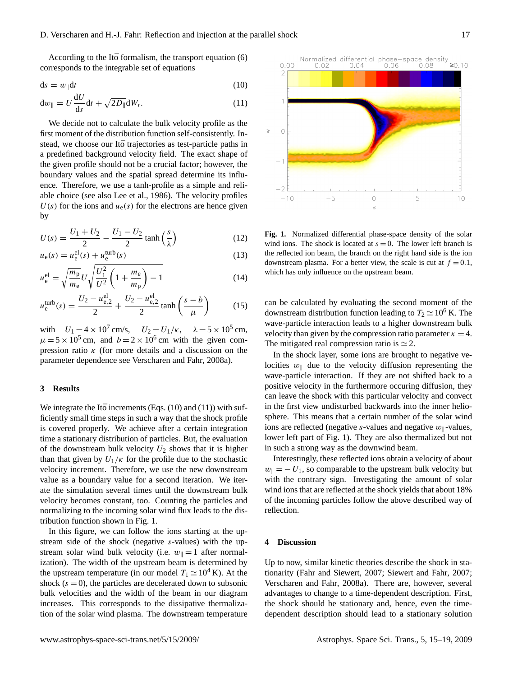According to the Itō formalism, the transport equation  $(6)$  $(6)$ corresponds to the integrable set of equations

$$
ds = w_{\parallel} dt \tag{10}
$$

<span id="page-2-2"></span>
$$
\mathrm{d}w_{\parallel} = U \frac{\mathrm{d}U}{\mathrm{d}s} \mathrm{d}t + \sqrt{2D_{\parallel}} \mathrm{d}W_t. \tag{11}
$$

We decide not to calculate the bulk velocity profile as the first moment of the distribution function self-consistently. Instead, we choose our Ito trajectories as test-particle paths in a predefined background velocity field. The exact shape of the given profile should not be a crucial factor; however, the boundary values and the spatial spread determine its influence. Therefore, we use a tanh-profile as a simple and reliable choice (see also [Lee et al.,](#page-4-16) [1986\)](#page-4-16). The velocity profiles  $U(s)$  for the ions and  $u_e(s)$  for the electrons are hence given by

$$
U(s) = \frac{U_1 + U_2}{2} - \frac{U_1 - U_2}{2} \tanh\left(\frac{s}{\lambda}\right)
$$
 (12)

$$
u_{e}(s) = u_{e}^{\text{el}}(s) + u_{e}^{\text{turb}}(s)
$$
\n(13)

$$
u_{\rm e}^{\rm el} = \sqrt{\frac{m_{\rm p}}{m_{\rm e}}} U \sqrt{\frac{U_1^2}{U^2} \left(1 + \frac{m_{\rm e}}{m_{\rm p}}\right) - 1} \tag{14}
$$

$$
u_{e}^{\text{turb}}(s) = \frac{U_2 - u_{e,2}^{\text{el}}}{2} + \frac{U_2 - u_{e,2}^{\text{el}}}{2} \tanh\left(\frac{s - b}{\mu}\right) \tag{15}
$$

with  $U_1 = 4 \times 10^7$  cm/s,  $U_2 = U_1/\kappa$ ,  $\lambda = 5 \times 10^5$  cm,  $\mu = 5 \times 10^5$  cm, and  $b = 2 \times 10^6$  cm with the given compression ratio  $\kappa$  (for more details and a discussion on the parameter dependence see [Verscharen and Fahr,](#page-4-8) [2008a\)](#page-4-8).

### <span id="page-2-0"></span>**3 Results**

We integrate the Ito increments (Eqs.  $(10)$  $(10)$  and  $(11)$ ) with sufficiently small time steps in such a way that the shock profile is covered properly. We achieve after a certain integration time a stationary distribution of particles. But, the evaluation of the downstream bulk velocity  $U_2$  shows that it is higher than that given by  $U_1/\kappa$  for the profile due to the stochastic velocity increment. Therefore, we use the new downstream value as a boundary value for a second iteration. We iterate the simulation several times until the downstream bulk velocity becomes constant, too. Counting the particles and normalizing to the incoming solar wind flux leads to the distribution function shown in Fig. [1.](#page-2-3)

In this figure, we can follow the ions starting at the upstream side of the shock (negative s-values) with the upstream solar wind bulk velocity (i.e.  $w_{\parallel} = 1$  after normalization). The width of the upstream beam is determined by the upstream temperature (in our model  $T_1 \simeq 10^4$  K). At the shock  $(s = 0)$ , the particles are decelerated down to subsonic bulk velocities and the width of the beam in our diagram increases. This corresponds to the dissipative thermalization of the solar wind plasma. The downstream temperature



<span id="page-2-3"></span>**Fig. 1.** Normalized differential phase-space density of the solar wind ions. The shock is located at  $s = 0$ . The lower left branch is the reflected ion beam, the branch on the right hand side is the ion downstream plasma. For a better view, the scale is cut at  $f = 0.1$ , which has only influence on the upstream beam.

can be calculated by evaluating the second moment of the downstream distribution function leading to  $T_2 \simeq 10^6$  K. The wave-particle interaction leads to a higher downstream bulk velocity than given by the compression ratio parameter  $\kappa = 4$ . The mitigated real compression ratio is  $\simeq$  2.

In the shock layer, some ions are brought to negative velocities  $w_{\parallel}$  due to the velocity diffusion representing the wave-particle interaction. If they are not shifted back to a positive velocity in the furthermore occuring diffusion, they can leave the shock with this particular velocity and convect in the first view undisturbed backwards into the inner heliosphere. This means that a certain number of the solar wind ions are reflected (negative s-values and negative  $w_{\parallel}$ -values, lower left part of Fig. [1\)](#page-2-3). They are also thermalized but not in such a strong way as the downwind beam.

Interestingly, these reflected ions obtain a velocity of about  $w_{\parallel} = -U_1$ , so comparable to the upstream bulk velocity but with the contrary sign. Investigating the amount of solar wind ions that are reflected at the shock yields that about 18% of the incoming particles follow the above described way of reflection.

#### <span id="page-2-1"></span>**4 Discussion**

Up to now, similar kinetic theories describe the shock in stationarity [\(Fahr and Siewert,](#page-4-17) [2007;](#page-4-17) [Siewert and Fahr,](#page-4-18) [2007;](#page-4-18) [Verscharen and Fahr,](#page-4-8) [2008a\)](#page-4-8). There are, however, several advantages to change to a time-dependent description. First, the shock should be stationary and, hence, even the timedependent description should lead to a stationary solution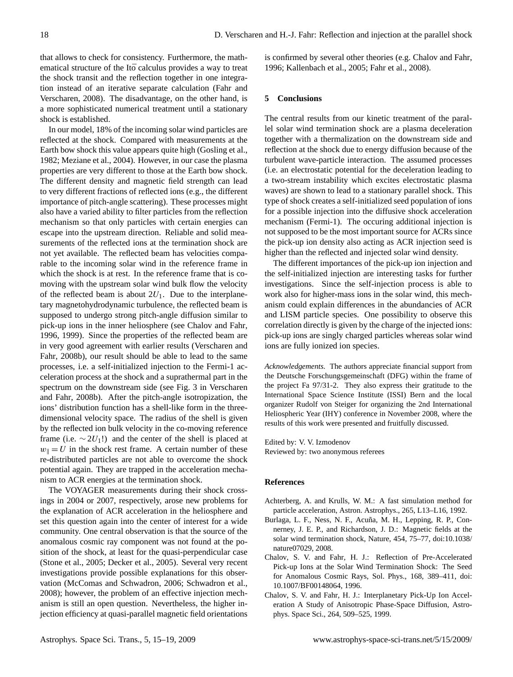that allows to check for consistency. Furthermore, the mathematical structure of the Itō calculus provides a way to treat the shock transit and the reflection together in one integration instead of an iterative separate calculation [\(Fahr and](#page-4-9) [Verscharen,](#page-4-9) [2008\)](#page-4-9). The disadvantage, on the other hand, is a more sophisticated numerical treatment until a stationary shock is established.

In our model, 18% of the incoming solar wind particles are reflected at the shock. Compared with measurements at the Earth bow shock this value appears quite high [\(Gosling et al.,](#page-4-19) [1982;](#page-4-19) [Meziane et al.,](#page-4-20) [2004\)](#page-4-20). However, in our case the plasma properties are very different to those at the Earth bow shock. The different density and magnetic field strength can lead to very different fractions of reflected ions (e.g., the different importance of pitch-angle scattering). These processes might also have a varied ability to filter particles from the reflection mechanism so that only particles with certain energies can escape into the upstream direction. Reliable and solid measurements of the reflected ions at the termination shock are not yet available. The reflected beam has velocities comparable to the incoming solar wind in the reference frame in which the shock is at rest. In the reference frame that is comoving with the upstream solar wind bulk flow the velocity of the reflected beam is about  $2U_1$ . Due to the interplanetary magnetohydrodynamic turbulence, the reflected beam is supposed to undergo strong pitch-angle diffusion similar to pick-up ions in the inner heliosphere (see [Chalov and Fahr,](#page-3-2) [1996,](#page-3-2) [1999\)](#page-3-3). Since the properties of the reflected beam are in very good agreement with earlier results [\(Verscharen and](#page-4-21) [Fahr,](#page-4-21) [2008b\)](#page-4-21), our result should be able to lead to the same processes, i.e. a self-initialized injection to the Fermi-1 acceleration process at the shock and a suprathermal part in the spectrum on the downstream side (see Fig. 3 in [Verscharen](#page-4-21) [and Fahr,](#page-4-21) [2008b\)](#page-4-21). After the pitch-angle isotropization, the ions' distribution function has a shell-like form in the threedimensional velocity space. The radius of the shell is given by the reflected ion bulk velocity in the co-moving reference frame (i.e.  $\sim$  2U<sub>1</sub>!) and the center of the shell is placed at  $w_{\parallel} = U$  in the shock rest frame. A certain number of these re-distributed particles are not able to overcome the shock potential again. They are trapped in the acceleration mechanism to ACR energies at the termination shock.

The VOYAGER measurements during their shock crossings in 2004 or 2007, respectively, arose new problems for the explanation of ACR acceleration in the heliosphere and set this question again into the center of interest for a wide community. One central observation is that the source of the anomalous cosmic ray component was not found at the position of the shock, at least for the quasi-perpendicular case [\(Stone et al.,](#page-4-1) [2005;](#page-4-1) [Decker et al.,](#page-4-22) [2005\)](#page-4-22). Several very recent investigations provide possible explanations for this observation [\(McComas and Schwadron,](#page-4-23) [2006;](#page-4-23) [Schwadron et al.,](#page-4-24) [2008\)](#page-4-24); however, the problem of an effective injection mechanism is still an open question. Nevertheless, the higher injection efficiency at quasi-parallel magnetic field orientations

is confirmed by several other theories (e.g. [Chalov and Fahr,](#page-3-2) [1996;](#page-3-2) [Kallenbach et al.,](#page-4-25) [2005;](#page-4-25) [Fahr et al.,](#page-4-5) [2008\)](#page-4-5).

#### **5 Conclusions**

The central results from our kinetic treatment of the parallel solar wind termination shock are a plasma deceleration together with a thermalization on the downstream side and reflection at the shock due to energy diffusion because of the turbulent wave-particle interaction. The assumed processes (i.e. an electrostatic potential for the deceleration leading to a two-stream instability which excites electrostatic plasma waves) are shown to lead to a stationary parallel shock. This type of shock creates a self-initialized seed population of ions for a possible injection into the diffusive shock acceleration mechanism (Fermi-1). The occuring additional injection is not supposed to be the most important source for ACRs since the pick-up ion density also acting as ACR injection seed is higher than the reflected and injected solar wind density.

The different importances of the pick-up ion injection and the self-initialized injection are interesting tasks for further investigations. Since the self-injection process is able to work also for higher-mass ions in the solar wind, this mechanism could explain differences in the abundancies of ACR and LISM particle species. One possibility to observe this correlation directly is given by the charge of the injected ions: pick-up ions are singly charged particles whereas solar wind ions are fully ionized ion species.

*Acknowledgements.* The authors appreciate financial support from the Deutsche Forschungsgemeinschaft (DFG) within the frame of the project Fa 97/31-2. They also express their gratitude to the International Space Science Institute (ISSI) Bern and the local organizer Rudolf von Steiger for organizing the 2nd International Heliospheric Year (IHY) conference in November 2008, where the results of this work were presented and fruitfully discussed.

Edited by: V. V. Izmodenov Reviewed by: two anonymous referees

#### **References**

- <span id="page-3-1"></span>Achterberg, A. and Krulls, W. M.: A fast simulation method for particle acceleration, Astron. Astrophys., 265, L13–L16, 1992.
- <span id="page-3-0"></span>Burlaga, L. F., Ness, N. F., Acuña, M. H., Lepping, R. P., Connerney, J. E. P., and Richardson, J. D.: Magnetic fields at the solar wind termination shock, Nature, 454, 75–77, doi:10.1038/ nature07029, 2008.
- <span id="page-3-2"></span>Chalov, S. V. and Fahr, H. J.: Reflection of Pre-Accelerated Pick-up Ions at the Solar Wind Termination Shock: The Seed for Anomalous Cosmic Rays, Sol. Phys., 168, 389–411, doi: 10.1007/BF00148064, 1996.
- <span id="page-3-3"></span>Chalov, S. V. and Fahr, H. J.: Interplanetary Pick-Up Ion Acceleration A Study of Anisotropic Phase-Space Diffusion, Astrophys. Space Sci., 264, 509–525, 1999.